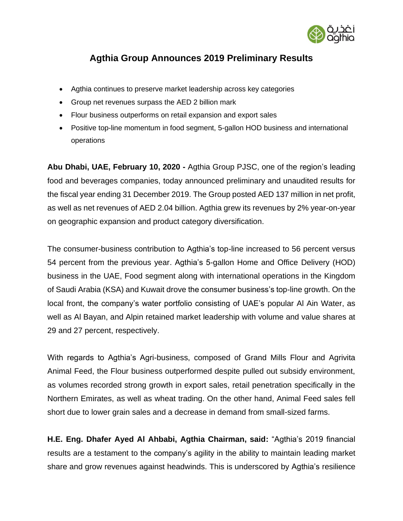

## **Agthia Group Announces 2019 Preliminary Results**

- Agthia continues to preserve market leadership across key categories
- Group net revenues surpass the AED 2 billion mark
- Flour business outperforms on retail expansion and export sales
- Positive top-line momentum in food segment, 5-gallon HOD business and international operations

**Abu Dhabi, UAE, February 10, 2020 -** Agthia Group PJSC, one of the region's leading food and beverages companies, today announced preliminary and unaudited results for the fiscal year ending 31 December 2019. The Group posted AED 137 million in net profit, as well as net revenues of AED 2.04 billion. Agthia grew its revenues by 2% year-on-year on geographic expansion and product category diversification.

The consumer-business contribution to Agthia's top-line increased to 56 percent versus 54 percent from the previous year. Agthia's 5-gallon Home and Office Delivery (HOD) business in the UAE, Food segment along with international operations in the Kingdom of Saudi Arabia (KSA) and Kuwait drove the consumer business's top-line growth. On the local front, the company's water portfolio consisting of UAE's popular Al Ain Water, as well as Al Bayan, and Alpin retained market leadership with volume and value shares at 29 and 27 percent, respectively.

With regards to Agthia's Agri-business, composed of Grand Mills Flour and Agrivita Animal Feed, the Flour business outperformed despite pulled out subsidy environment, as volumes recorded strong growth in export sales, retail penetration specifically in the Northern Emirates, as well as wheat trading. On the other hand, Animal Feed sales fell short due to lower grain sales and a decrease in demand from small-sized farms.

**H.E. Eng. Dhafer Ayed Al Ahbabi, Agthia Chairman, said:** "Agthia's 2019 financial results are a testament to the company's agility in the ability to maintain leading market share and grow revenues against headwinds. This is underscored by Agthia's resilience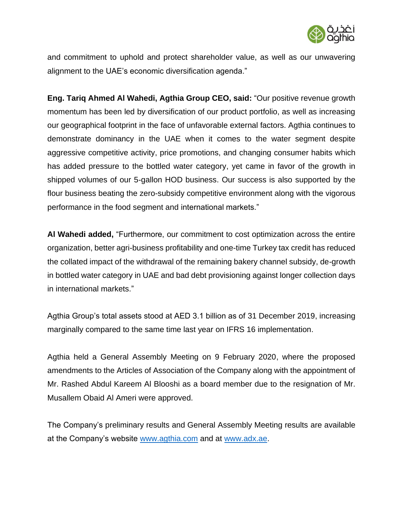

and commitment to uphold and protect shareholder value, as well as our unwavering alignment to the UAE's economic diversification agenda."

**Eng. Tariq Ahmed Al Wahedi, Agthia Group CEO, said:** "Our positive revenue growth momentum has been led by diversification of our product portfolio, as well as increasing our geographical footprint in the face of unfavorable external factors. Agthia continues to demonstrate dominancy in the UAE when it comes to the water segment despite aggressive competitive activity, price promotions, and changing consumer habits which has added pressure to the bottled water category, yet came in favor of the growth in shipped volumes of our 5-gallon HOD business. Our success is also supported by the flour business beating the zero-subsidy competitive environment along with the vigorous performance in the food segment and international markets."

**Al Wahedi added,** "Furthermore, our commitment to cost optimization across the entire organization, better agri-business profitability and one-time Turkey tax credit has reduced the collated impact of the withdrawal of the remaining bakery channel subsidy, de-growth in bottled water category in UAE and bad debt provisioning against longer collection days in international markets."

Agthia Group's total assets stood at AED 3.1 billion as of 31 December 2019, increasing marginally compared to the same time last year on IFRS 16 implementation.

Agthia held a General Assembly Meeting on 9 February 2020, where the proposed amendments to the Articles of Association of the Company along with the appointment of Mr. Rashed Abdul Kareem Al Blooshi as a board member due to the resignation of Mr. Musallem Obaid Al Ameri were approved.

The Company's preliminary results and General Assembly Meeting results are available at the Company's website [www.agthia.com](http://www.agthia.com/) and at [www.adx.ae.](http://www.adx.ae/)